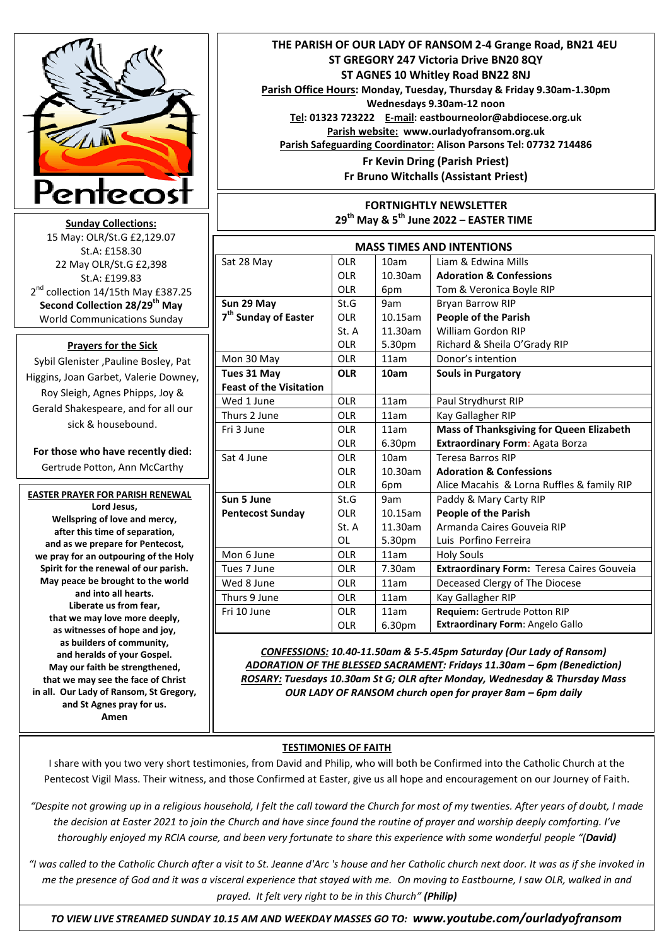

**Sunday Collections:**  15 May: OLR/St.G £2,129.07 St.A: £158.30 22 May OLR/St.G £2,398 St.A: £199.83 2<sup>nd</sup> collection 14/15th May £387.25 **Second Collection 28/29th May** World Communications Sunday Communications

## **Prayers for the Sick**

Sybil Glenister ,Pauline Bosley, Pat Higgins, Joan Garbet, Valerie Downey, Roy Sleigh, Agnes Phipps, Joy & Gerald Shakespeare, and for all our sick & housebound.

**For those who have recently died:**  Gertrude Potton, Ann McCarthy

## **EASTER PRAYER FOR PARISH RENEWAL Lord Jesus,**

**Wellspring of love and mercy, after this time of separation, and as we prepare for Pentecost, we pray for an outpouring of the Holy Spirit for the renewal of our parish. May peace be brought to the world and into all hearts. Liberate us from fear, that we may love more deeply, as witnesses of hope and joy, as builders of community, and heralds of your Gospel. May our faith be strengthened, that we may see the face of Christ in all. Our Lady of Ransom, St Gregory, and St Agnes pray for us. Amen**

 **THE PARISH OF OUR LADY OF RANSOM 2-4 Grange Road, BN21 4EU ST GREGORY 247 Victoria Drive BN20 8QY ST AGNES 10 Whitley Road BN22 8NJ Parish Office Hours: Monday, Tuesday, Thursday & Friday 9.30am-1.30pm Wednesdays 9.30am-12 noon Tel: 01323 723222 E-mail: eastbourneolor@abdiocese.org.uk Parish website: [www.ourladyofransom.org.uk](http://www.ourladyofransom.org.uk/) Parish Safeguarding Coordinator: Alison Parsons Tel: 07732 714486 Fr Kevin Dring (Parish Priest) Fr Bruno Witchalls (Assistant Priest)**

## **FORTNIGHTLY NEWSLETTER 29th May & 5th June 2022 – EASTER TIME**

| <b>MASS TIMES AND INTENTIONS</b> |                 |            |                                                  |
|----------------------------------|-----------------|------------|--------------------------------------------------|
| Sat 28 May                       | <b>OLR</b>      | 10am       | Liam & Edwina Mills                              |
|                                  | OI R            | 10.30am    | <b>Adoration &amp; Confessions</b>               |
|                                  | OI R            | 6pm        | Tom & Veronica Boyle RIP                         |
| Sun 29 May                       | St.G            | 9am        | <b>Bryan Barrow RIP</b>                          |
| 7 <sup>th</sup> Sunday of Easter | OI R            | 10.15am    | <b>People of the Parish</b>                      |
|                                  | St. A           | 11.30am    | William Gordon RIP                               |
|                                  | <b>OLR</b>      | 5.30pm     | Richard & Sheila O'Grady RIP                     |
| Mon 30 May                       | <b>OLR</b>      | 11am       | Donor's intention                                |
| Tues 31 May                      | <b>OLR</b>      | 10am       | <b>Souls in Purgatory</b>                        |
| <b>Feast of the Visitation</b>   |                 |            |                                                  |
| Wed 1 June                       | <b>OLR</b>      | 11am       | Paul Strydhurst RIP                              |
| Thurs 2 June                     | <b>OLR</b>      | 11am       | Kay Gallagher RIP                                |
| Fri 3 June                       | OI R            | 11am       | <b>Mass of Thanksgiving for Queen Elizabeth</b>  |
|                                  | <b>OLR</b>      | 6.30pm     | Extraordinary Form: Agata Borza                  |
| Sat 4 June                       | OI R            | 10am       | <b>Teresa Barros RIP</b>                         |
|                                  | OI R            | 10.30am    | <b>Adoration &amp; Confessions</b>               |
|                                  | OI <sub>R</sub> | 6pm        | Alice Macahis & Lorna Ruffles & family RIP       |
| Sun 5 June                       | St.G            | 9am        | Paddy & Mary Carty RIP                           |
| <b>Pentecost Sunday</b>          | OI R            | $10.15$ am | <b>People of the Parish</b>                      |
|                                  | St. A           | 11.30am    | Armanda Caires Gouveia RIP                       |
|                                  | ΩL              | 5.30pm     | Luis Porfino Ferreira                            |
| Mon 6 June                       | <b>OLR</b>      | 11am       | <b>Holy Souls</b>                                |
| Tues 7 June                      | <b>OLR</b>      | 7.30am     | <b>Extraordinary Form: Teresa Caires Gouveia</b> |
| Wed 8 June                       | <b>OLR</b>      | 11am       | Deceased Clergy of The Diocese                   |
| Thurs 9 June                     | <b>OLR</b>      | 11am       | Kay Gallagher RIP                                |
| Fri 10 June                      | <b>OLR</b>      | 11am       | Requiem: Gertrude Potton RIP                     |
|                                  | <b>OLR</b>      | 6.30pm     | Extraordinary Form: Angelo Gallo                 |

*CONFESSIONS: 10.40-11.50am & 5-5.45pm Saturday (Our Lady of Ransom) ADORATION OF THE BLESSED SACRAMENT: Fridays 11.30am – 6pm (Benediction) ROSARY: Tuesdays 10.30am St G; OLR after Monday, Wednesday & Thursday Mass* **OUR LADY OF RANSOM church open for prayer 8am – 6pm daily** 

## **TESTIMONIES OF FAITH**

I share with you two very short testimonies, from David and Philip, who will both be Confirmed into the Catholic Church at the Pentecost Vigil Mass. Their witness, and those Confirmed at Easter, give us all hope and encouragement on our Journey of Faith.

*"Despite not growing up in a religious household, I felt the call toward the Church for most of my twenties. After years of doubt, I made the decision at Easter 2021 to join the Church and have since found the routine of prayer and worship deeply comforting. I've thoroughly enjoyed my RCIA course, and been very fortunate to share this experience with some wonderful people "(David)* 

*"I was called to the Catholic Church after a visit to St. Jeanne d'Arc 's house and her Catholic church next door. It was as if she invoked in me the presence of God and it was a visceral experience that stayed with me. On moving to Eastbourne, I saw OLR, walked in and prayed. It felt very right to be in this Church" (Philip)*

 *TO VIEW LIVE STREAMED SUNDAY 10.15 AM AND WEEKDAY MASSES GO TO: www.youtube.com/ourladyofransom*